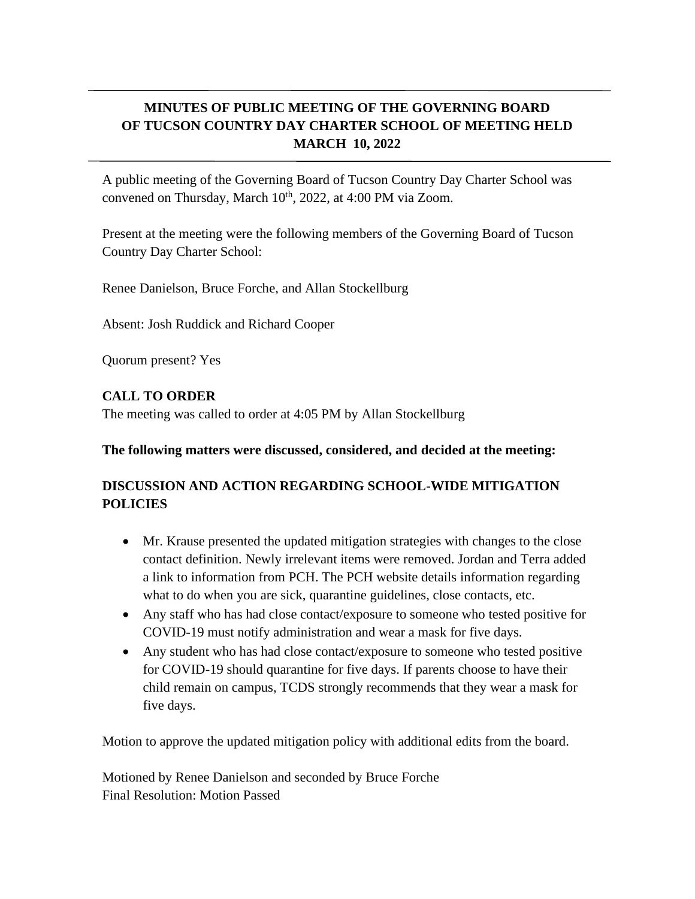## **MINUTES OF PUBLIC MEETING OF THE GOVERNING BOARD OF TUCSON COUNTRY DAY CHARTER SCHOOL OF MEETING HELD MARCH 10, 2022**

A public meeting of the Governing Board of Tucson Country Day Charter School was convened on Thursday, March  $10^{th}$ , 2022, at 4:00 PM via Zoom.

Present at the meeting were the following members of the Governing Board of Tucson Country Day Charter School:

Renee Danielson, Bruce Forche, and Allan Stockellburg

Absent: Josh Ruddick and Richard Cooper

Quorum present? Yes

## **CALL TO ORDER**

The meeting was called to order at 4:05 PM by Allan Stockellburg

## **The following matters were discussed, considered, and decided at the meeting:**

## **DISCUSSION AND ACTION REGARDING SCHOOL-WIDE MITIGATION POLICIES**

- Mr. Krause presented the updated mitigation strategies with changes to the close contact definition. Newly irrelevant items were removed. Jordan and Terra added a link to information from PCH. The PCH website details information regarding what to do when you are sick, quarantine guidelines, close contacts, etc.
- Any staff who has had close contact/exposure to some one who tested positive for COVID-19 must notify administration and wear a mask for five days.
- Any student who has had close contact/exposure to someone who tested positive for COVID-19 should quarantine for five days. If parents choose to have their child remain on campus, TCDS strongly recommends that they wear a mask for five days.

Motion to approve the updated mitigation policy with additional edits from the board.

Motioned by Renee Danielson and seconded by Bruce Forche Final Resolution: Motion Passed